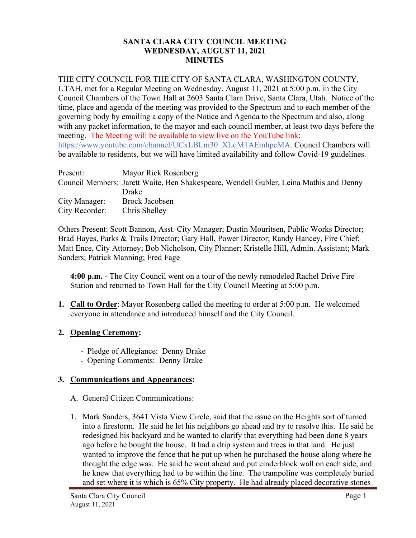#### **SANTA CLARA CITY COUNCIL MEETING WEDNESDAY, AUGUST 11, 2021 MINUTES**

## THE CITY COUNCIL FOR THE CITY OF SANTA CLARA, WASHINGTON COUNTY,

UTAH, met for a Regular Meeting on Wednesday, August 11, 2021 at 5:00 p.m. in the City Council Chambers of the Town Hall at 2603 Santa Clara Drive, Santa Clara, Utah. Notice of the time, place and agenda of the meeting was provided to the Spectrum and to each member of the governing body by emailing a copy of the Notice and Agenda to the Spectrum and also, along with any packet information, to the mayor and each council member, at least two days before the meeting. The Meeting will be available to view live on the YouTube link: https://www.youtube.com/channel/UCxLBLm30\_XLqM1AEmhpcMA. Council Chambers will be available to residents, but we will have limited availability and follow Covid-19 guidelines.

| Present:       | Mayor Rick Rosenberg                                                                   |
|----------------|----------------------------------------------------------------------------------------|
|                | Council Members: Jarett Waite, Ben Shakespeare, Wendell Gubler, Leina Mathis and Denny |
|                | Drake                                                                                  |
| City Manager:  | Brock Jacobsen                                                                         |
| City Recorder: | Chris Shelley                                                                          |

Others Present: Scott Bannon, Asst. City Manager; Dustin Mouritsen, Public Works Director; Brad Hayes, Parks & Trails Director; Gary Hall, Power Director; Randy Hancey, Fire Chief; Matt Ence, City Attorney; Bob Nicholson, City Planner; Kristelle Hill, Admin. Assistant; Mark Sanders; Patrick Manning; Fred Fage

**4:00 p.m.** - The City Council went on a tour of the newly remodeled Rachel Drive Fire Station and returned to Town Hall for the City Council Meeting at 5:00 p.m.

**1. Call to Order**: Mayor Rosenberg called the meeting to order at 5:00 p.m. He welcomed everyone in attendance and introduced himself and the City Council.

# **2. Opening Ceremony:**

- Pledge of Allegiance: Denny Drake
- Opening Comments: Denny Drake

# **3. Communications and Appearances:**

- A. General Citizen Communications:
- 1. Mark Sanders, 3641 Vista View Circle, said that the issue on the Heights sort of turned into a firestorm. He said he let his neighbors go ahead and try to resolve this. He said he redesigned his backyard and he wanted to clarify that everything had been done 8 years ago before he bought the house. It had a drip system and trees in that land. He just wanted to improve the fence that he put up when he purchased the house along where he thought the edge was. He said he went ahead and put cinderblock wall on each side, and he knew that everything had to be within the line. The trampoline was completely buried and set where it is which is 65% City property. He had already placed decorative stones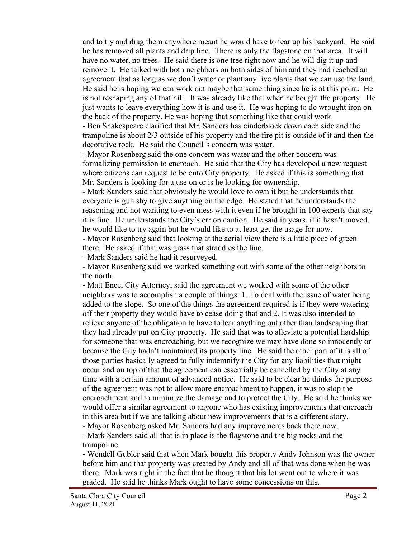and to try and drag them anywhere meant he would have to tear up his backyard. He said he has removed all plants and drip line. There is only the flagstone on that area. It will have no water, no trees. He said there is one tree right now and he will dig it up and remove it. He talked with both neighbors on both sides of him and they had reached an agreement that as long as we don't water or plant any live plants that we can use the land. He said he is hoping we can work out maybe that same thing since he is at this point. He is not reshaping any of that hill. It was already like that when he bought the property. He just wants to leave everything how it is and use it. He was hoping to do wrought iron on the back of the property. He was hoping that something like that could work.

- Ben Shakespeare clarified that Mr. Sanders has cinderblock down each side and the trampoline is about 2/3 outside of his property and the fire pit is outside of it and then the decorative rock. He said the Council's concern was water.

- Mayor Rosenberg said the one concern was water and the other concern was formalizing permission to encroach. He said that the City has developed a new request where citizens can request to be onto City property. He asked if this is something that Mr. Sanders is looking for a use on or is he looking for ownership.

- Mark Sanders said that obviously he would love to own it but he understands that everyone is gun shy to give anything on the edge. He stated that he understands the reasoning and not wanting to even mess with it even if he brought in 100 experts that say it is fine. He understands the City's err on caution. He said in years, if it hasn't moved, he would like to try again but he would like to at least get the usage for now. - Mayor Rosenberg said that looking at the aerial view there is a little piece of green

there. He asked if that was grass that straddles the line.

- Mark Sanders said he had it resurveyed.

- Mayor Rosenberg said we worked something out with some of the other neighbors to the north.

- Matt Ence, City Attorney, said the agreement we worked with some of the other neighbors was to accomplish a couple of things: 1. To deal with the issue of water being added to the slope. So one of the things the agreement required is if they were watering off their property they would have to cease doing that and 2. It was also intended to relieve anyone of the obligation to have to tear anything out other than landscaping that they had already put on City property. He said that was to alleviate a potential hardship for someone that was encroaching, but we recognize we may have done so innocently or because the City hadn't maintained its property line. He said the other part of it is all of those parties basically agreed to fully indemnify the City for any liabilities that might occur and on top of that the agreement can essentially be cancelled by the City at any time with a certain amount of advanced notice. He said to be clear he thinks the purpose of the agreement was not to allow more encroachment to happen, it was to stop the encroachment and to minimize the damage and to protect the City. He said he thinks we would offer a similar agreement to anyone who has existing improvements that encroach in this area but if we are talking about new improvements that is a different story.

- Mayor Rosenberg asked Mr. Sanders had any improvements back there now.

- Mark Sanders said all that is in place is the flagstone and the big rocks and the trampoline.

- Wendell Gubler said that when Mark bought this property Andy Johnson was the owner before him and that property was created by Andy and all of that was done when he was there. Mark was right in the fact that he thought that his lot went out to where it was graded. He said he thinks Mark ought to have some concessions on this.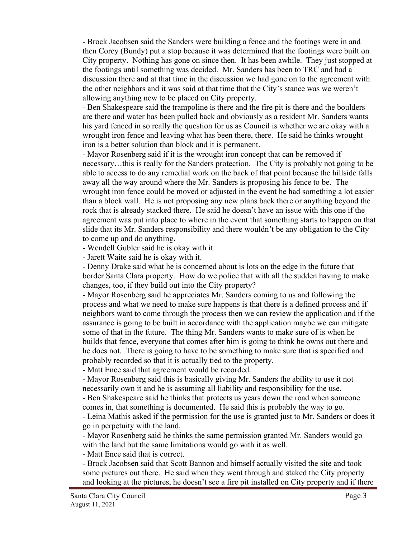- Brock Jacobsen said the Sanders were building a fence and the footings were in and then Corey (Bundy) put a stop because it was determined that the footings were built on City property. Nothing has gone on since then. It has been awhile. They just stopped at the footings until something was decided. Mr. Sanders has been to TRC and had a discussion there and at that time in the discussion we had gone on to the agreement with the other neighbors and it was said at that time that the City's stance was we weren't allowing anything new to be placed on City property.

- Ben Shakespeare said the trampoline is there and the fire pit is there and the boulders are there and water has been pulled back and obviously as a resident Mr. Sanders wants his yard fenced in so really the question for us as Council is whether we are okay with a wrought iron fence and leaving what has been there, there. He said he thinks wrought iron is a better solution than block and it is permanent.

- Mayor Rosenberg said if it is the wrought iron concept that can be removed if necessary…this is really for the Sanders protection. The City is probably not going to be able to access to do any remedial work on the back of that point because the hillside falls away all the way around where the Mr. Sanders is proposing his fence to be. The wrought iron fence could be moved or adjusted in the event he had something a lot easier than a block wall. He is not proposing any new plans back there or anything beyond the rock that is already stacked there. He said he doesn't have an issue with this one if the agreement was put into place to where in the event that something starts to happen on that slide that its Mr. Sanders responsibility and there wouldn't be any obligation to the City to come up and do anything.

- Wendell Gubler said he is okay with it.

- Jarett Waite said he is okay with it.

- Denny Drake said what he is concerned about is lots on the edge in the future that border Santa Clara property. How do we police that with all the sudden having to make changes, too, if they build out into the City property?

- Mayor Rosenberg said he appreciates Mr. Sanders coming to us and following the process and what we need to make sure happens is that there is a defined process and if neighbors want to come through the process then we can review the application and if the assurance is going to be built in accordance with the application maybe we can mitigate some of that in the future. The thing Mr. Sanders wants to make sure of is when he builds that fence, everyone that comes after him is going to think he owns out there and he does not. There is going to have to be something to make sure that is specified and probably recorded so that it is actually tied to the property.

- Matt Ence said that agreement would be recorded.

- Mayor Rosenberg said this is basically giving Mr. Sanders the ability to use it not necessarily own it and he is assuming all liability and responsibility for the use.

- Ben Shakespeare said he thinks that protects us years down the road when someone comes in, that something is documented. He said this is probably the way to go.

- Leina Mathis asked if the permission for the use is granted just to Mr. Sanders or does it go in perpetuity with the land.

- Mayor Rosenberg said he thinks the same permission granted Mr. Sanders would go with the land but the same limitations would go with it as well.

- Matt Ence said that is correct.

- Brock Jacobsen said that Scott Bannon and himself actually visited the site and took some pictures out there. He said when they went through and staked the City property and looking at the pictures, he doesn't see a fire pit installed on City property and if there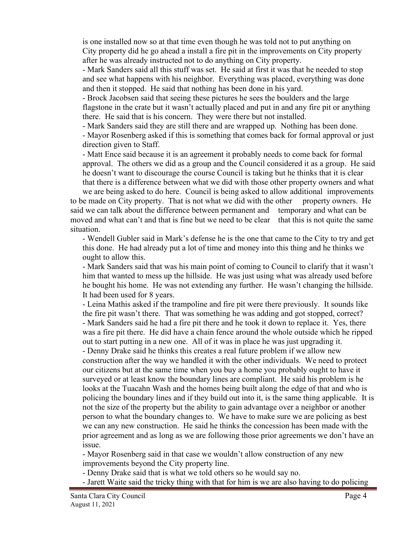is one installed now so at that time even though he was told not to put anything on City property did he go ahead a install a fire pit in the improvements on City property after he was already instructed not to do anything on City property.

- Mark Sanders said all this stuff was set. He said at first it was that he needed to stop and see what happens with his neighbor. Everything was placed, everything was done and then it stopped. He said that nothing has been done in his yard.

- Brock Jacobsen said that seeing these pictures he sees the boulders and the large flagstone in the crate but it wasn't actually placed and put in and any fire pit or anything there. He said that is his concern. They were there but not installed.

- Mark Sanders said they are still there and are wrapped up. Nothing has been done. - Mayor Rosenberg asked if this is something that comes back for formal approval or just direction given to Staff.

- Matt Ence said because it is an agreement it probably needs to come back for formal approval. The others we did as a group and the Council considered it as a group. He said he doesn't want to discourage the course Council is taking but he thinks that it is clear that there is a difference between what we did with those other property owners and what

we are being asked to do here. Council is being asked to allow additional improvements to be made on City property. That is not what we did with the other property owners. He said we can talk about the difference between permanent and temporary and what can be moved and what can't and that is fine but we need to be clear that this is not quite the same situation.

- Wendell Gubler said in Mark's defense he is the one that came to the City to try and get this done. He had already put a lot of time and money into this thing and he thinks we ought to allow this.

- Mark Sanders said that was his main point of coming to Council to clarify that it wasn't him that wanted to mess up the hillside. He was just using what was already used before he bought his home. He was not extending any further. He wasn't changing the hillside. It had been used for 8 years.

- Leina Mathis asked if the trampoline and fire pit were there previously. It sounds like the fire pit wasn't there. That was something he was adding and got stopped, correct? - Mark Sanders said he had a fire pit there and he took it down to replace it. Yes, there was a fire pit there. He did have a chain fence around the whole outside which he ripped out to start putting in a new one. All of it was in place he was just upgrading it.

- Denny Drake said he thinks this creates a real future problem if we allow new construction after the way we handled it with the other individuals. We need to protect our citizens but at the same time when you buy a home you probably ought to have it surveyed or at least know the boundary lines are compliant. He said his problem is he looks at the Tuacahn Wash and the homes being built along the edge of that and who is policing the boundary lines and if they build out into it, is the same thing applicable. It is not the size of the property but the ability to gain advantage over a neighbor or another person to what the boundary changes to. We have to make sure we are policing as best we can any new construction. He said he thinks the concession has been made with the prior agreement and as long as we are following those prior agreements we don't have an issue.

- Mayor Rosenberg said in that case we wouldn't allow construction of any new improvements beyond the City property line.

- Denny Drake said that is what we told others so he would say no.

- Jarett Waite said the tricky thing with that for him is we are also having to do policing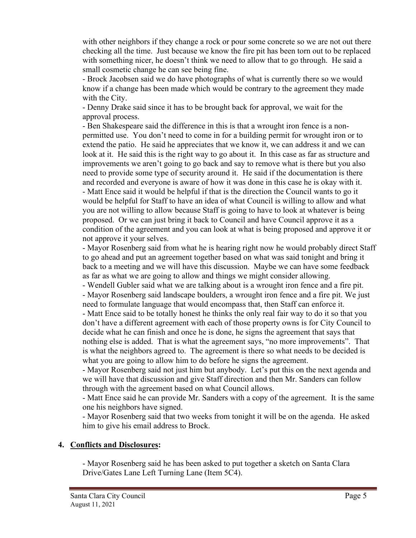with other neighbors if they change a rock or pour some concrete so we are not out there checking all the time. Just because we know the fire pit has been torn out to be replaced with something nicer, he doesn't think we need to allow that to go through. He said a small cosmetic change he can see being fine.

- Brock Jacobsen said we do have photographs of what is currently there so we would know if a change has been made which would be contrary to the agreement they made with the City.

- Denny Drake said since it has to be brought back for approval, we wait for the approval process.

- Ben Shakespeare said the difference in this is that a wrought iron fence is a nonpermitted use. You don't need to come in for a building permit for wrought iron or to extend the patio. He said he appreciates that we know it, we can address it and we can look at it. He said this is the right way to go about it. In this case as far as structure and improvements we aren't going to go back and say to remove what is there but you also need to provide some type of security around it. He said if the documentation is there and recorded and everyone is aware of how it was done in this case he is okay with it. - Matt Ence said it would be helpful if that is the direction the Council wants to go it would be helpful for Staff to have an idea of what Council is willing to allow and what you are not willing to allow because Staff is going to have to look at whatever is being proposed. Or we can just bring it back to Council and have Council approve it as a condition of the agreement and you can look at what is being proposed and approve it or not approve it your selves.

- Mayor Rosenberg said from what he is hearing right now he would probably direct Staff to go ahead and put an agreement together based on what was said tonight and bring it back to a meeting and we will have this discussion. Maybe we can have some feedback as far as what we are going to allow and things we might consider allowing.

- Wendell Gubler said what we are talking about is a wrought iron fence and a fire pit. - Mayor Rosenberg said landscape boulders, a wrought iron fence and a fire pit. We just need to formulate language that would encompass that, then Staff can enforce it.

- Matt Ence said to be totally honest he thinks the only real fair way to do it so that you don't have a different agreement with each of those property owns is for City Council to decide what he can finish and once he is done, he signs the agreement that says that nothing else is added. That is what the agreement says, "no more improvements". That is what the neighbors agreed to. The agreement is there so what needs to be decided is what you are going to allow him to do before he signs the agreement.

- Mayor Rosenberg said not just him but anybody. Let's put this on the next agenda and we will have that discussion and give Staff direction and then Mr. Sanders can follow through with the agreement based on what Council allows.

- Matt Ence said he can provide Mr. Sanders with a copy of the agreement. It is the same one his neighbors have signed.

- Mayor Rosenberg said that two weeks from tonight it will be on the agenda. He asked him to give his email address to Brock.

# **4. Conflicts and Disclosures:**

- Mayor Rosenberg said he has been asked to put together a sketch on Santa Clara Drive/Gates Lane Left Turning Lane (Item 5C4).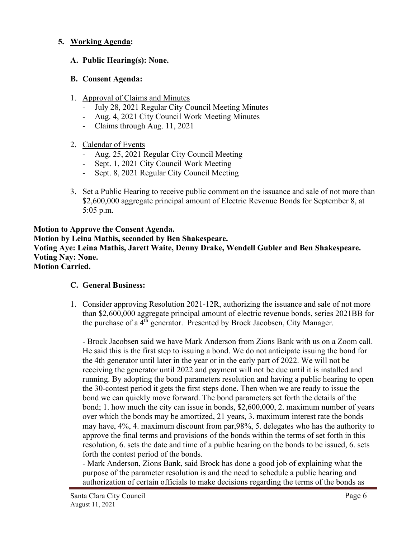## **5. Working Agenda:**

## **A. Public Hearing(s): None.**

#### **B. Consent Agenda:**

- 1. Approval of Claims and Minutes
	- July 28, 2021 Regular City Council Meeting Minutes
	- Aug. 4, 2021 City Council Work Meeting Minutes
	- Claims through Aug. 11, 2021

# 2. Calendar of Events

- Aug. 25, 2021 Regular City Council Meeting
- Sept. 1, 2021 City Council Work Meeting
- Sept. 8, 2021 Regular City Council Meeting
- 3. Set a Public Hearing to receive public comment on the issuance and sale of not more than \$2,600,000 aggregate principal amount of Electric Revenue Bonds for September 8, at 5:05 p.m.

#### **Motion to Approve the Consent Agenda. Motion by Leina Mathis, seconded by Ben Shakespeare. Voting Aye: Leina Mathis, Jarett Waite, Denny Drake, Wendell Gubler and Ben Shakespeare. Voting Nay: None. Motion Carried.**

# **C. General Business:**

1. Consider approving Resolution 2021-12R, authorizing the issuance and sale of not more than \$2,600,000 aggregate principal amount of electric revenue bonds, series 2021BB for the purchase of a 4<sup>th</sup> generator. Presented by Brock Jacobsen, City Manager.

- Brock Jacobsen said we have Mark Anderson from Zions Bank with us on a Zoom call. He said this is the first step to issuing a bond. We do not anticipate issuing the bond for the 4th generator until later in the year or in the early part of 2022. We will not be receiving the generator until 2022 and payment will not be due until it is installed and running. By adopting the bond parameters resolution and having a public hearing to open the 30-contest period it gets the first steps done. Then when we are ready to issue the bond we can quickly move forward. The bond parameters set forth the details of the bond; 1. how much the city can issue in bonds, \$2,600,000, 2. maximum number of years over which the bonds may be amortized, 21 years, 3. maximum interest rate the bonds may have, 4%, 4. maximum discount from par,98%, 5. delegates who has the authority to approve the final terms and provisions of the bonds within the terms of set forth in this resolution, 6. sets the date and time of a public hearing on the bonds to be issued, 6. sets forth the contest period of the bonds.

- Mark Anderson, Zions Bank, said Brock has done a good job of explaining what the purpose of the parameter resolution is and the need to schedule a public hearing and authorization of certain officials to make decisions regarding the terms of the bonds as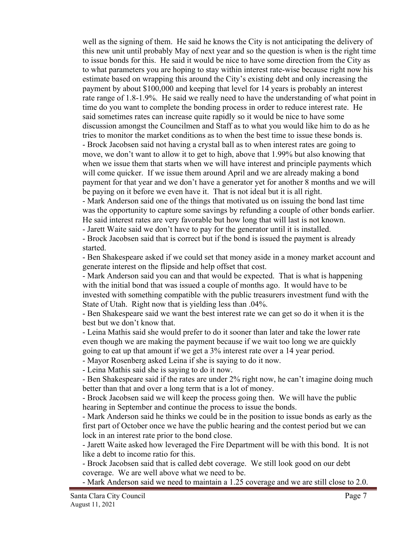well as the signing of them. He said he knows the City is not anticipating the delivery of this new unit until probably May of next year and so the question is when is the right time to issue bonds for this. He said it would be nice to have some direction from the City as to what parameters you are hoping to stay within interest rate-wise because right now his estimate based on wrapping this around the City's existing debt and only increasing the payment by about \$100,000 and keeping that level for 14 years is probably an interest rate range of 1.8-1.9%. He said we really need to have the understanding of what point in time do you want to complete the bonding process in order to reduce interest rate. He said sometimes rates can increase quite rapidly so it would be nice to have some discussion amongst the Councilmen and Staff as to what you would like him to do as he tries to monitor the market conditions as to when the best time to issue these bonds is.

- Brock Jacobsen said not having a crystal ball as to when interest rates are going to move, we don't want to allow it to get to high, above that 1.99% but also knowing that when we issue them that starts when we will have interest and principle payments which will come quicker. If we issue them around April and we are already making a bond payment for that year and we don't have a generator yet for another 8 months and we will be paying on it before we even have it. That is not ideal but it is all right.

- Mark Anderson said one of the things that motivated us on issuing the bond last time was the opportunity to capture some savings by refunding a couple of other bonds earlier. He said interest rates are very favorable but how long that will last is not known.

- Jarett Waite said we don't have to pay for the generator until it is installed.

- Brock Jacobsen said that is correct but if the bond is issued the payment is already started.

- Ben Shakespeare asked if we could set that money aside in a money market account and generate interest on the flipside and help offset that cost.

- Mark Anderson said you can and that would be expected. That is what is happening with the initial bond that was issued a couple of months ago. It would have to be invested with something compatible with the public treasurers investment fund with the State of Utah. Right now that is yielding less than .04%.

- Ben Shakespeare said we want the best interest rate we can get so do it when it is the best but we don't know that.

- Leina Mathis said she would prefer to do it sooner than later and take the lower rate even though we are making the payment because if we wait too long we are quickly going to eat up that amount if we get a 3% interest rate over a 14 year period.

- Mayor Rosenberg asked Leina if she is saying to do it now.

- Leina Mathis said she is saying to do it now.

- Ben Shakespeare said if the rates are under 2% right now, he can't imagine doing much better than that and over a long term that is a lot of money.

- Brock Jacobsen said we will keep the process going then. We will have the public hearing in September and continue the process to issue the bonds.

- Mark Anderson said he thinks we could be in the position to issue bonds as early as the first part of October once we have the public hearing and the contest period but we can lock in an interest rate prior to the bond close.

- Jarett Waite asked how leveraged the Fire Department will be with this bond. It is not like a debt to income ratio for this.

- Brock Jacobsen said that is called debt coverage. We still look good on our debt coverage. We are well above what we need to be.

- Mark Anderson said we need to maintain a 1.25 coverage and we are still close to 2.0.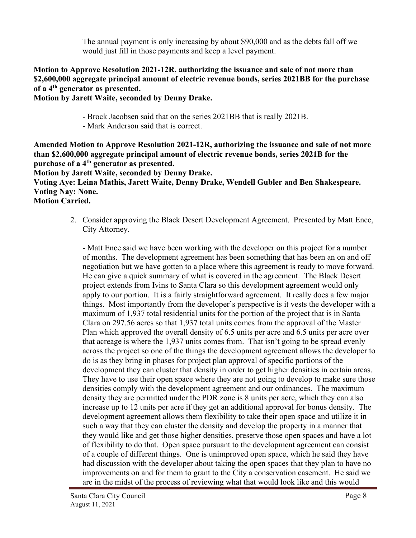The annual payment is only increasing by about \$90,000 and as the debts fall off we would just fill in those payments and keep a level payment.

## **Motion to Approve Resolution 2021-12R, authorizing the issuance and sale of not more than \$2,600,000 aggregate principal amount of electric revenue bonds, series 2021BB for the purchase of a 4th generator as presented.**

# **Motion by Jarett Waite, seconded by Denny Drake.**

- Brock Jacobsen said that on the series 2021BB that is really 2021B.
- Mark Anderson said that is correct.

**Amended Motion to Approve Resolution 2021-12R, authorizing the issuance and sale of not more than \$2,600,000 aggregate principal amount of electric revenue bonds, series 2021B for the purchase of a 4th generator as presented.** 

**Motion by Jarett Waite, seconded by Denny Drake.** 

**Voting Aye: Leina Mathis, Jarett Waite, Denny Drake, Wendell Gubler and Ben Shakespeare. Voting Nay: None.**

**Motion Carried.**

2. Consider approving the Black Desert Development Agreement. Presented by Matt Ence, City Attorney.

- Matt Ence said we have been working with the developer on this project for a number of months. The development agreement has been something that has been an on and off negotiation but we have gotten to a place where this agreement is ready to move forward. He can give a quick summary of what is covered in the agreement. The Black Desert project extends from Ivins to Santa Clara so this development agreement would only apply to our portion. It is a fairly straightforward agreement. It really does a few major things. Most importantly from the developer's perspective is it vests the developer with a maximum of 1,937 total residential units for the portion of the project that is in Santa Clara on 297.56 acres so that 1,937 total units comes from the approval of the Master Plan which approved the overall density of 6.5 units per acre and 6.5 units per acre over that acreage is where the 1,937 units comes from. That isn't going to be spread evenly across the project so one of the things the development agreement allows the developer to do is as they bring in phases for project plan approval of specific portions of the development they can cluster that density in order to get higher densities in certain areas. They have to use their open space where they are not going to develop to make sure those densities comply with the development agreement and our ordinances. The maximum density they are permitted under the PDR zone is 8 units per acre, which they can also increase up to 12 units per acre if they get an additional approval for bonus density. The development agreement allows them flexibility to take their open space and utilize it in such a way that they can cluster the density and develop the property in a manner that they would like and get those higher densities, preserve those open spaces and have a lot of flexibility to do that. Open space pursuant to the development agreement can consist of a couple of different things. One is unimproved open space, which he said they have had discussion with the developer about taking the open spaces that they plan to have no improvements on and for them to grant to the City a conservation easement. He said we are in the midst of the process of reviewing what that would look like and this would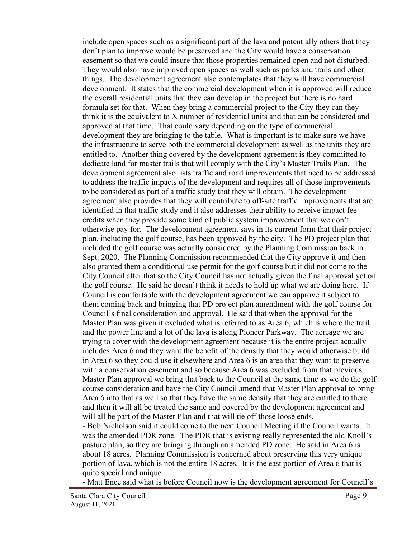include open spaces such as a significant part of the lava and potentially others that they don't plan to improve would be preserved and the City would have a conservation easement so that we could insure that those properties remained open and not disturbed. They would also have improved open spaces as well such as parks and trails and other things. The development agreement also contemplates that they will have commercial development. It states that the commercial development when it is approved will reduce the overall residential units that they can develop in the project but there is no hard formula set for that. When they bring a commercial project to the City they can they think it is the equivalent to X number of residential units and that can be considered and approved at that time. That could vary depending on the type of commercial development they are bringing to the table. What is important is to make sure we have the infrastructure to serve both the commercial development as well as the units they are entitled to. Another thing covered by the development agreement is they committed to dedicate land for master trails that will comply with the City's Master Trails Plan. The development agreement also lists traffic and road improvements that need to be addressed to address the traffic impacts of the development and requires all of those improvements to be considered as part of a traffic study that they will obtain. The development agreement also provides that they will contribute to off-site traffic improvements that are identified in that traffic study and it also addresses their ability to receive impact fee credits when they provide some kind of public system improvement that we don't otherwise pay for. The development agreement says in its current form that their project plan, including the golf course, has been approved by the city. The PD project plan that included the golf course was actually considered by the Planning Commission back in Sept. 2020. The Planning Commission recommended that the City approve it and then also granted them a conditional use permit for the golf course but it did not come to the City Council after that so the City Council has not actually given the final approval yet on the golf course. He said he doesn't think it needs to hold up what we are doing here. If Council is comfortable with the development agreement we can approve it subject to them coming back and bringing that PD project plan amendment with the golf course for Council's final consideration and approval. He said that when the approval for the Master Plan was given it excluded what is referred to as Area 6, which is where the trail and the power line and a lot of the lava is along Pioneer Parkway. The acreage we are trying to cover with the development agreement because it is the entire project actually includes Area 6 and they want the benefit of the density that they would otherwise build in Area 6 so they could use it elsewhere and Area 6 is an area that they want to preserve with a conservation easement and so because Area 6 was excluded from that previous Master Plan approval we bring that back to the Council at the same time as we do the golf course consideration and have the City Council amend that Master Plan approval to bring Area 6 into that as well so that they have the same density that they are entitled to there and then it will all be treated the same and covered by the development agreement and will all be part of the Master Plan and that will tie off those loose ends.

- Bob Nicholson said it could come to the next Council Meeting if the Council wants. It was the amended PDR zone. The PDR that is existing really represented the old Knoll's pasture plan, so they are bringing through an amended PD zone. He said in Area 6 is about 18 acres. Planning Commission is concerned about preserving this very unique portion of lava, which is not the entire 18 acres. It is the east portion of Area 6 that is quite special and unique.

- Matt Ence said what is before Council now is the development agreement for Council's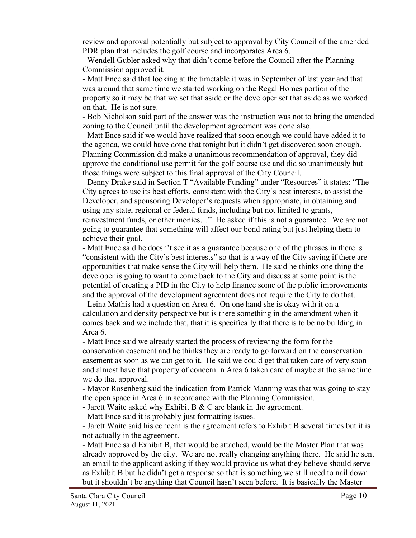review and approval potentially but subject to approval by City Council of the amended PDR plan that includes the golf course and incorporates Area 6.

- Wendell Gubler asked why that didn't come before the Council after the Planning Commission approved it.

- Matt Ence said that looking at the timetable it was in September of last year and that was around that same time we started working on the Regal Homes portion of the property so it may be that we set that aside or the developer set that aside as we worked on that. He is not sure.

- Bob Nicholson said part of the answer was the instruction was not to bring the amended zoning to the Council until the development agreement was done also.

- Matt Ence said if we would have realized that soon enough we could have added it to the agenda, we could have done that tonight but it didn't get discovered soon enough. Planning Commission did make a unanimous recommendation of approval, they did approve the conditional use permit for the golf course use and did so unanimously but those things were subject to this final approval of the City Council.

- Denny Drake said in Section T "Available Funding" under "Resources" it states: "The City agrees to use its best efforts, consistent with the City's best interests, to assist the Developer, and sponsoring Developer's requests when appropriate, in obtaining and using any state, regional or federal funds, including but not limited to grants, reinvestment funds, or other monies…" He asked if this is not a guarantee. We are not going to guarantee that something will affect our bond rating but just helping them to achieve their goal.

- Matt Ence said he doesn't see it as a guarantee because one of the phrases in there is "consistent with the City's best interests" so that is a way of the City saying if there are opportunities that make sense the City will help them. He said he thinks one thing the developer is going to want to come back to the City and discuss at some point is the potential of creating a PID in the City to help finance some of the public improvements and the approval of the development agreement does not require the City to do that. - Leina Mathis had a question on Area 6. On one hand she is okay with it on a calculation and density perspective but is there something in the amendment when it comes back and we include that, that it is specifically that there is to be no building in Area 6.

- Matt Ence said we already started the process of reviewing the form for the conservation easement and he thinks they are ready to go forward on the conservation easement as soon as we can get to it. He said we could get that taken care of very soon and almost have that property of concern in Area 6 taken care of maybe at the same time we do that approval.

- Mayor Rosenberg said the indication from Patrick Manning was that was going to stay the open space in Area 6 in accordance with the Planning Commission.

- Jarett Waite asked why Exhibit B  $&$  C are blank in the agreement.

- Matt Ence said it is probably just formatting issues.

- Jarett Waite said his concern is the agreement refers to Exhibit B several times but it is not actually in the agreement.

- Matt Ence said Exhibit B, that would be attached, would be the Master Plan that was already approved by the city. We are not really changing anything there. He said he sent an email to the applicant asking if they would provide us what they believe should serve as Exhibit B but he didn't get a response so that is something we still need to nail down but it shouldn't be anything that Council hasn't seen before. It is basically the Master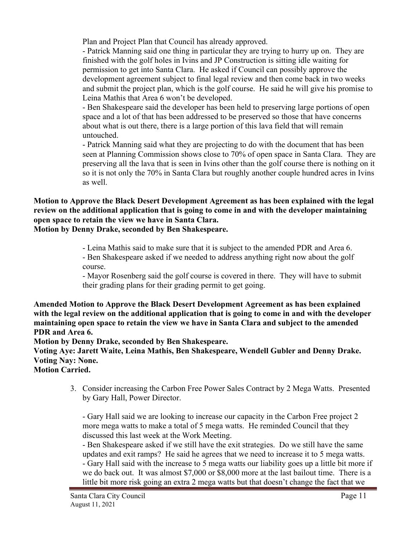Plan and Project Plan that Council has already approved.

- Patrick Manning said one thing in particular they are trying to hurry up on. They are finished with the golf holes in Ivins and JP Construction is sitting idle waiting for permission to get into Santa Clara. He asked if Council can possibly approve the development agreement subject to final legal review and then come back in two weeks and submit the project plan, which is the golf course. He said he will give his promise to Leina Mathis that Area 6 won't be developed.

- Ben Shakespeare said the developer has been held to preserving large portions of open space and a lot of that has been addressed to be preserved so those that have concerns about what is out there, there is a large portion of this lava field that will remain untouched.

- Patrick Manning said what they are projecting to do with the document that has been seen at Planning Commission shows close to 70% of open space in Santa Clara. They are preserving all the lava that is seen in Ivins other than the golf course there is nothing on it so it is not only the 70% in Santa Clara but roughly another couple hundred acres in Ivins as well.

**Motion to Approve the Black Desert Development Agreement as has been explained with the legal review on the additional application that is going to come in and with the developer maintaining open space to retain the view we have in Santa Clara.** 

**Motion by Denny Drake, seconded by Ben Shakespeare.**

- Leina Mathis said to make sure that it is subject to the amended PDR and Area 6. - Ben Shakespeare asked if we needed to address anything right now about the golf course.

- Mayor Rosenberg said the golf course is covered in there. They will have to submit their grading plans for their grading permit to get going.

**Amended Motion to Approve the Black Desert Development Agreement as has been explained with the legal review on the additional application that is going to come in and with the developer maintaining open space to retain the view we have in Santa Clara and subject to the amended PDR and Area 6.**

**Motion by Denny Drake, seconded by Ben Shakespeare.**

**Voting Aye: Jarett Waite, Leina Mathis, Ben Shakespeare, Wendell Gubler and Denny Drake. Voting Nay: None.**

**Motion Carried.**

 3. Consider increasing the Carbon Free Power Sales Contract by 2 Mega Watts. Presented by Gary Hall, Power Director.

- Gary Hall said we are looking to increase our capacity in the Carbon Free project 2 more mega watts to make a total of 5 mega watts. He reminded Council that they discussed this last week at the Work Meeting.

- Ben Shakespeare asked if we still have the exit strategies. Do we still have the same updates and exit ramps? He said he agrees that we need to increase it to 5 mega watts. - Gary Hall said with the increase to 5 mega watts our liability goes up a little bit more if we do back out. It was almost \$7,000 or \$8,000 more at the last bailout time. There is a little bit more risk going an extra 2 mega watts but that doesn't change the fact that we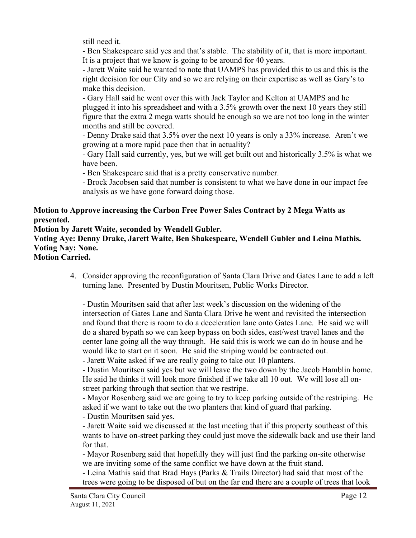still need it.

- Ben Shakespeare said yes and that's stable. The stability of it, that is more important. It is a project that we know is going to be around for 40 years.

- Jarett Waite said he wanted to note that UAMPS has provided this to us and this is the right decision for our City and so we are relying on their expertise as well as Gary's to make this decision.

- Gary Hall said he went over this with Jack Taylor and Kelton at UAMPS and he plugged it into his spreadsheet and with a 3.5% growth over the next 10 years they still figure that the extra 2 mega watts should be enough so we are not too long in the winter months and still be covered.

- Denny Drake said that 3.5% over the next 10 years is only a 33% increase. Aren't we growing at a more rapid pace then that in actuality?

- Gary Hall said currently, yes, but we will get built out and historically 3.5% is what we have been.

- Ben Shakespeare said that is a pretty conservative number.

- Brock Jacobsen said that number is consistent to what we have done in our impact fee analysis as we have gone forward doing those.

## **Motion to Approve increasing the Carbon Free Power Sales Contract by 2 Mega Watts as presented.**

**Motion by Jarett Waite, seconded by Wendell Gubler.**

**Voting Aye: Denny Drake, Jarett Waite, Ben Shakespeare, Wendell Gubler and Leina Mathis. Voting Nay: None.**

**Motion Carried.**

4. Consider approving the reconfiguration of Santa Clara Drive and Gates Lane to add a left turning lane. Presented by Dustin Mouritsen, Public Works Director.

- Dustin Mouritsen said that after last week's discussion on the widening of the intersection of Gates Lane and Santa Clara Drive he went and revisited the intersection and found that there is room to do a deceleration lane onto Gates Lane. He said we will do a shared bypath so we can keep bypass on both sides, east/west travel lanes and the center lane going all the way through. He said this is work we can do in house and he would like to start on it soon. He said the striping would be contracted out.

- Jarett Waite asked if we are really going to take out 10 planters.

- Dustin Mouritsen said yes but we will leave the two down by the Jacob Hamblin home. He said he thinks it will look more finished if we take all 10 out. We will lose all onstreet parking through that section that we restripe.

- Mayor Rosenberg said we are going to try to keep parking outside of the restriping. He asked if we want to take out the two planters that kind of guard that parking.

- Dustin Mouritsen said yes.

- Jarett Waite said we discussed at the last meeting that if this property southeast of this wants to have on-street parking they could just move the sidewalk back and use their land for that.

- Mayor Rosenberg said that hopefully they will just find the parking on-site otherwise we are inviting some of the same conflict we have down at the fruit stand.

- Leina Mathis said that Brad Hays (Parks & Trails Director) had said that most of the trees were going to be disposed of but on the far end there are a couple of trees that look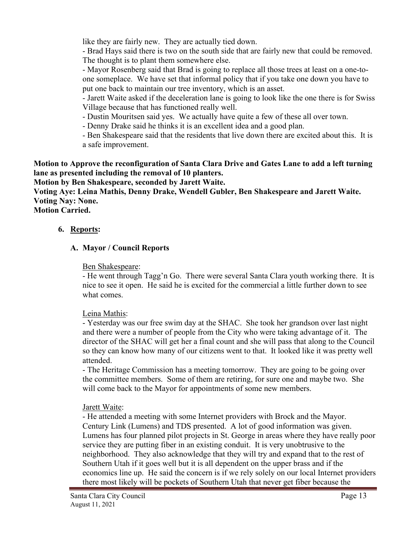like they are fairly new. They are actually tied down.

- Brad Hays said there is two on the south side that are fairly new that could be removed. The thought is to plant them somewhere else.

- Mayor Rosenberg said that Brad is going to replace all those trees at least on a one-toone someplace. We have set that informal policy that if you take one down you have to put one back to maintain our tree inventory, which is an asset.

- Jarett Waite asked if the deceleration lane is going to look like the one there is for Swiss Village because that has functioned really well.

- Dustin Mouritsen said yes. We actually have quite a few of these all over town.

- Denny Drake said he thinks it is an excellent idea and a good plan.

- Ben Shakespeare said that the residents that live down there are excited about this. It is a safe improvement.

**Motion to Approve the reconfiguration of Santa Clara Drive and Gates Lane to add a left turning lane as presented including the removal of 10 planters.** 

**Motion by Ben Shakespeare, seconded by Jarett Waite.**

**Voting Aye: Leina Mathis, Denny Drake, Wendell Gubler, Ben Shakespeare and Jarett Waite. Voting Nay: None.**

**Motion Carried.**

## **6. Reports:**

## **A. Mayor / Council Reports**

#### Ben Shakespeare:

- He went through Tagg'n Go. There were several Santa Clara youth working there. It is nice to see it open. He said he is excited for the commercial a little further down to see what comes.

#### Leina Mathis:

- Yesterday was our free swim day at the SHAC. She took her grandson over last night and there were a number of people from the City who were taking advantage of it. The director of the SHAC will get her a final count and she will pass that along to the Council so they can know how many of our citizens went to that. It looked like it was pretty well attended.

- The Heritage Commission has a meeting tomorrow. They are going to be going over the committee members. Some of them are retiring, for sure one and maybe two. She will come back to the Mayor for appointments of some new members.

# Jarett Waite:

- He attended a meeting with some Internet providers with Brock and the Mayor. Century Link (Lumens) and TDS presented. A lot of good information was given. Lumens has four planned pilot projects in St. George in areas where they have really poor service they are putting fiber in an existing conduit. It is very unobtrusive to the neighborhood. They also acknowledge that they will try and expand that to the rest of Southern Utah if it goes well but it is all dependent on the upper brass and if the economics line up. He said the concern is if we rely solely on our local Internet providers there most likely will be pockets of Southern Utah that never get fiber because the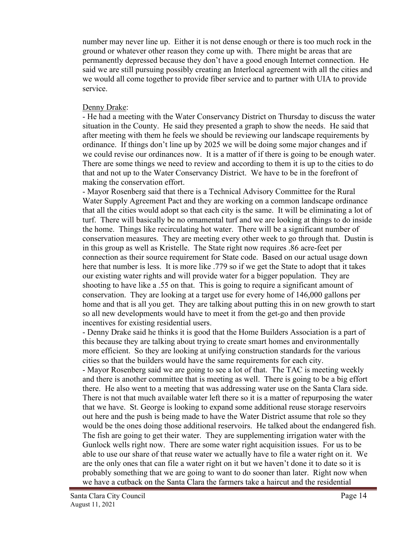number may never line up. Either it is not dense enough or there is too much rock in the ground or whatever other reason they come up with. There might be areas that are permanently depressed because they don't have a good enough Internet connection. He said we are still pursuing possibly creating an Interlocal agreement with all the cities and we would all come together to provide fiber service and to partner with UIA to provide service.

#### Denny Drake:

- He had a meeting with the Water Conservancy District on Thursday to discuss the water situation in the County. He said they presented a graph to show the needs. He said that after meeting with them he feels we should be reviewing our landscape requirements by ordinance. If things don't line up by 2025 we will be doing some major changes and if we could revise our ordinances now. It is a matter of if there is going to be enough water. There are some things we need to review and according to them it is up to the cities to do that and not up to the Water Conservancy District. We have to be in the forefront of making the conservation effort.

- Mayor Rosenberg said that there is a Technical Advisory Committee for the Rural Water Supply Agreement Pact and they are working on a common landscape ordinance that all the cities would adopt so that each city is the same. It will be eliminating a lot of turf. There will basically be no ornamental turf and we are looking at things to do inside the home. Things like recirculating hot water. There will be a significant number of conservation measures. They are meeting every other week to go through that. Dustin is in this group as well as Kristelle. The State right now requires .86 acre-feet per connection as their source requirement for State code. Based on our actual usage down here that number is less. It is more like .779 so if we get the State to adopt that it takes our existing water rights and will provide water for a bigger population. They are shooting to have like a .55 on that. This is going to require a significant amount of conservation. They are looking at a target use for every home of 146,000 gallons per home and that is all you get. They are talking about putting this in on new growth to start so all new developments would have to meet it from the get-go and then provide incentives for existing residential users.

- Denny Drake said he thinks it is good that the Home Builders Association is a part of this because they are talking about trying to create smart homes and environmentally more efficient. So they are looking at unifying construction standards for the various cities so that the builders would have the same requirements for each city.

- Mayor Rosenberg said we are going to see a lot of that. The TAC is meeting weekly and there is another committee that is meeting as well. There is going to be a big effort there. He also went to a meeting that was addressing water use on the Santa Clara side. There is not that much available water left there so it is a matter of repurposing the water that we have. St. George is looking to expand some additional reuse storage reservoirs out here and the push is being made to have the Water District assume that role so they would be the ones doing those additional reservoirs. He talked about the endangered fish. The fish are going to get their water. They are supplementing irrigation water with the Gunlock wells right now. There are some water right acquisition issues. For us to be able to use our share of that reuse water we actually have to file a water right on it. We are the only ones that can file a water right on it but we haven't done it to date so it is probably something that we are going to want to do sooner than later. Right now when we have a cutback on the Santa Clara the farmers take a haircut and the residential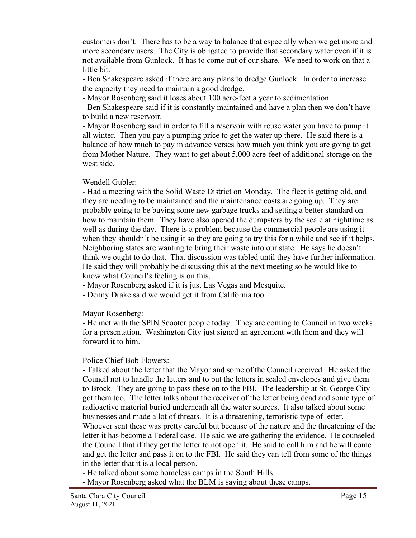customers don't. There has to be a way to balance that especially when we get more and more secondary users. The City is obligated to provide that secondary water even if it is not available from Gunlock. It has to come out of our share. We need to work on that a little bit.

- Ben Shakespeare asked if there are any plans to dredge Gunlock. In order to increase the capacity they need to maintain a good dredge.

- Mayor Rosenberg said it loses about 100 acre-feet a year to sedimentation.

- Ben Shakespeare said if it is constantly maintained and have a plan then we don't have to build a new reservoir.

- Mayor Rosenberg said in order to fill a reservoir with reuse water you have to pump it all winter. Then you pay a pumping price to get the water up there. He said there is a balance of how much to pay in advance verses how much you think you are going to get from Mother Nature. They want to get about 5,000 acre-feet of additional storage on the west side.

## Wendell Gubler:

- Had a meeting with the Solid Waste District on Monday. The fleet is getting old, and they are needing to be maintained and the maintenance costs are going up. They are probably going to be buying some new garbage trucks and setting a better standard on how to maintain them. They have also opened the dumpsters by the scale at nighttime as well as during the day. There is a problem because the commercial people are using it when they shouldn't be using it so they are going to try this for a while and see if it helps. Neighboring states are wanting to bring their waste into our state. He says he doesn't think we ought to do that. That discussion was tabled until they have further information. He said they will probably be discussing this at the next meeting so he would like to know what Council's feeling is on this.

- Mayor Rosenberg asked if it is just Las Vegas and Mesquite.

- Denny Drake said we would get it from California too.

Mayor Rosenberg:

- He met with the SPIN Scooter people today. They are coming to Council in two weeks for a presentation. Washington City just signed an agreement with them and they will forward it to him.

# Police Chief Bob Flowers:

- Talked about the letter that the Mayor and some of the Council received. He asked the Council not to handle the letters and to put the letters in sealed envelopes and give them to Brock. They are going to pass these on to the FBI. The leadership at St. George City got them too. The letter talks about the receiver of the letter being dead and some type of radioactive material buried underneath all the water sources. It also talked about some businesses and made a lot of threats. It is a threatening, terroristic type of letter.

Whoever sent these was pretty careful but because of the nature and the threatening of the letter it has become a Federal case. He said we are gathering the evidence. He counseled the Council that if they get the letter to not open it. He said to call him and he will come and get the letter and pass it on to the FBI. He said they can tell from some of the things in the letter that it is a local person.

- He talked about some homeless camps in the South Hills.
- Mayor Rosenberg asked what the BLM is saying about these camps.